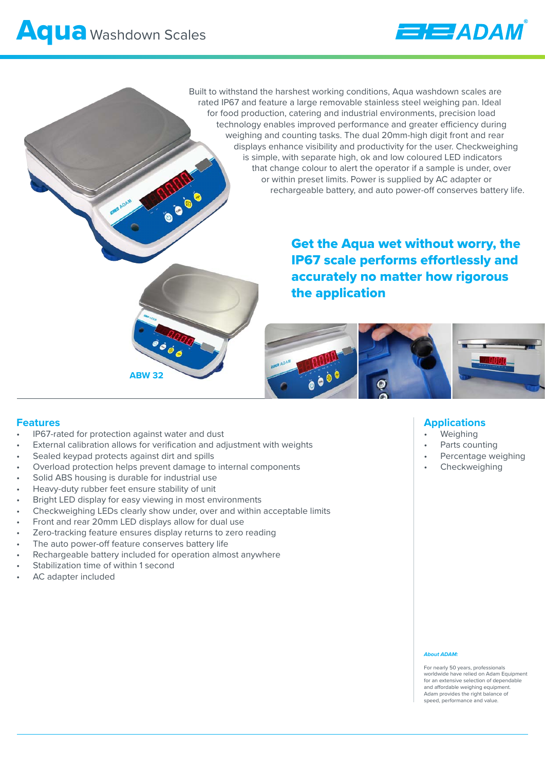

Built to withstand the harshest working conditions, Aqua washdown scales are rated IP67 and feature a large removable stainless steel weighing pan. Ideal for food production, catering and industrial environments, precision load technology enables improved performance and greater efficiency during weighing and counting tasks. The dual 20mm-high digit front and rear displays enhance visibility and productivity for the user. Checkweighing is simple, with separate high, ok and low coloured LED indicators that change colour to alert the operator if a sample is under, over or within preset limits. Power is supplied by AC adapter or rechargeable battery, and auto power-off conserves battery life.

> Get the Aqua wet without worry, the IP67 scale performs effortlessly and accurately no matter how rigorous the application



### **Features**

- IP67-rated for protection against water and dust
- External calibration allows for verification and adjustment with weights

**OCO** 

- Sealed keypad protects against dirt and spills
- Overload protection helps prevent damage to internal components

**ABW 32**

- Solid ABS housing is durable for industrial use
- Heavy-duty rubber feet ensure stability of unit
- Bright LED display for easy viewing in most environments
- Checkweighing LEDs clearly show under, over and within acceptable limits
- Front and rear 20mm LED displays allow for dual use
- Zero-tracking feature ensures display returns to zero reading
- The auto power-off feature conserves battery life
- Rechargeable battery included for operation almost anywhere
- Stabilization time of within 1 second
- AC adapter included

## **Applications**

- **Weighing**
- Parts counting
- Percentage weighing
- **Checkweighing**

### *About ADAM:*

For nearly 50 years, professionals worldwide have relied on Adam Equipment for an extensive selection of dependable and affordable weighing equipment. Adam provides the right balance of speed, performance and value.